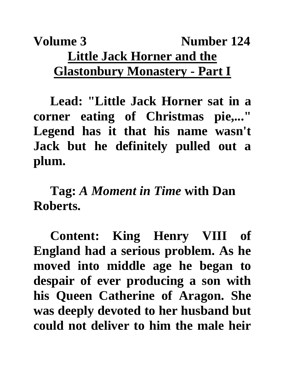## **Volume 3** Number 124 **Little Jack Horner and the Glastonbury Monastery - Part I**

**Lead: "Little Jack Horner sat in a corner eating of Christmas pie,..." Legend has it that his name wasn't Jack but he definitely pulled out a plum.** 

**Tag:** *A Moment in Time* **with Dan Roberts.**

**Content: King Henry VIII of England had a serious problem. As he moved into middle age he began to despair of ever producing a son with his Queen Catherine of Aragon. She was deeply devoted to her husband but could not deliver to him the male heir**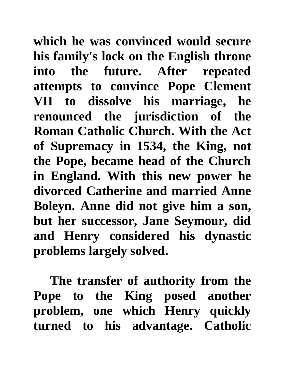**which he was convinced would secure his family's lock on the English throne into the future. After repeated attempts to convince Pope Clement VII to dissolve his marriage, he renounced the jurisdiction of the Roman Catholic Church. With the Act of Supremacy in 1534, the King, not the Pope, became head of the Church in England. With this new power he divorced Catherine and married Anne Boleyn. Anne did not give him a son, but her successor, Jane Seymour, did and Henry considered his dynastic problems largely solved.**

**The transfer of authority from the Pope to the King posed another problem, one which Henry quickly turned to his advantage. Catholic**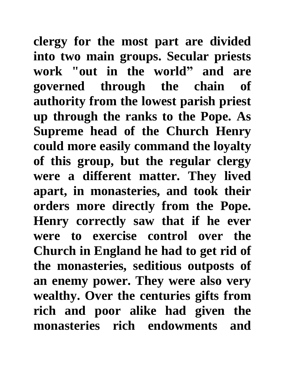**clergy for the most part are divided into two main groups. Secular priests work "out in the world" and are governed through the chain of authority from the lowest parish priest up through the ranks to the Pope. As Supreme head of the Church Henry could more easily command the loyalty of this group, but the regular clergy were a different matter. They lived apart, in monasteries, and took their orders more directly from the Pope. Henry correctly saw that if he ever were to exercise control over the Church in England he had to get rid of the monasteries, seditious outposts of an enemy power. They were also very wealthy. Over the centuries gifts from rich and poor alike had given the monasteries rich endowments and**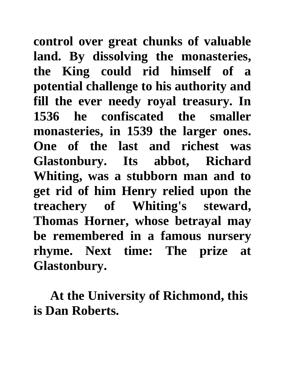**control over great chunks of valuable land. By dissolving the monasteries, the King could rid himself of a potential challenge to his authority and fill the ever needy royal treasury. In 1536 he confiscated the smaller monasteries, in 1539 the larger ones. One of the last and richest was Glastonbury. Its abbot, Richard Whiting, was a stubborn man and to get rid of him Henry relied upon the treachery of Whiting's steward, Thomas Horner, whose betrayal may be remembered in a famous nursery rhyme. Next time: The prize at Glastonbury.**

**At the University of Richmond, this is Dan Roberts.**